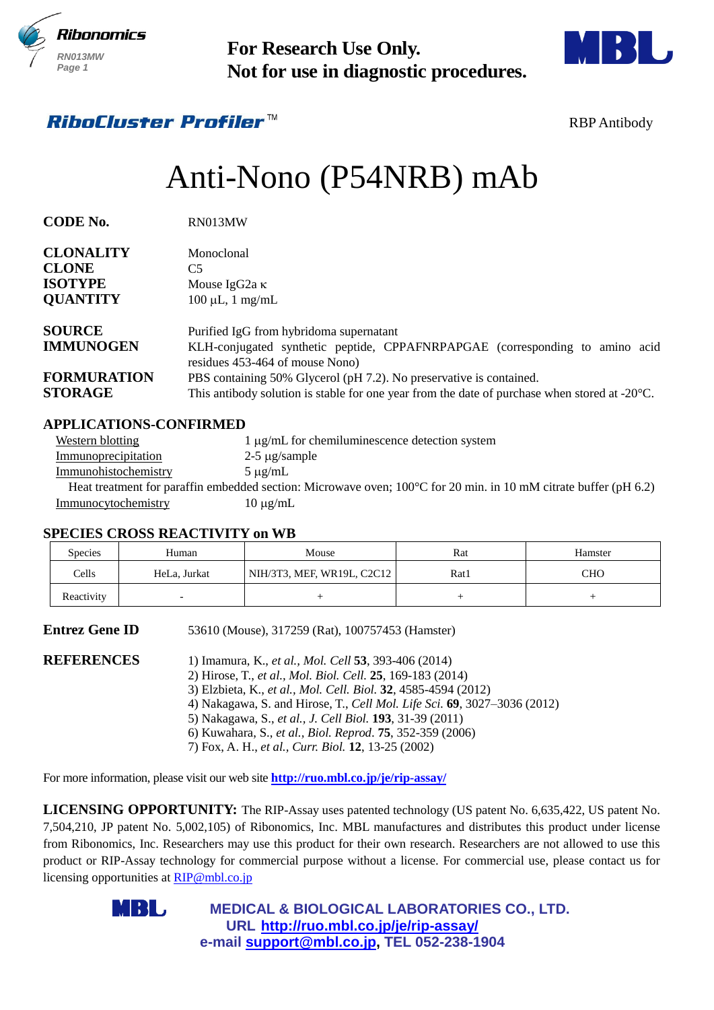



## *RihoCluster Profiler™*

# Anti-Nono (P54NRB) mAb

| 11.JUI 1UI 1 11L3<br>RN013MW<br>Page 1                                                        |                                                                                  | <b>For Research Use Only.</b><br>Not for use in diagnostic procedures.                                                                                                                                                                                                                                                                                                                                                                                                        |                 |                     |
|-----------------------------------------------------------------------------------------------|----------------------------------------------------------------------------------|-------------------------------------------------------------------------------------------------------------------------------------------------------------------------------------------------------------------------------------------------------------------------------------------------------------------------------------------------------------------------------------------------------------------------------------------------------------------------------|-----------------|---------------------|
|                                                                                               | <i><b>RiboCluster Profiler™</b></i>                                              |                                                                                                                                                                                                                                                                                                                                                                                                                                                                               |                 | <b>RBP</b> Antibody |
|                                                                                               |                                                                                  | Anti-Nono (P54NRB) mAb                                                                                                                                                                                                                                                                                                                                                                                                                                                        |                 |                     |
| <b>CODE No.</b>                                                                               | RN013MW                                                                          |                                                                                                                                                                                                                                                                                                                                                                                                                                                                               |                 |                     |
| <b>CLONALITY</b><br><b>CLONE</b><br><b>ISOTYPE</b><br><b>QUANTITY</b>                         | Monoclonal<br>C <sub>5</sub><br>Mouse IgG2a κ<br>$100 \mu L$ , $1 \text{ mg/mL}$ |                                                                                                                                                                                                                                                                                                                                                                                                                                                                               |                 |                     |
| <b>SOURCE</b><br><b>IMMUNOGEN</b><br><b>FORMURATION</b><br><b>STORAGE</b>                     |                                                                                  | Purified IgG from hybridoma supernatant<br>KLH-conjugated synthetic peptide, CPPAFNRPAPGAE (corresponding to amino acid<br>residues 453-464 of mouse Nono)<br>PBS containing 50% Glycerol (pH 7.2). No preservative is contained.<br>This antibody solution is stable for one year from the date of purchase when stored at $-20^{\circ}$ C.                                                                                                                                  |                 |                     |
| <b>Western blotting</b><br>Immunoprecipitation<br>Immunohistochemistry<br>Immunocytochemistry | <b>APPLICATIONS-CONFIRMED</b><br><b>SPECIES CROSS REACTIVITY on WB</b>           | 1 μg/mL for chemiluminescence detection system<br>$2-5 \mu$ g/sample<br>$5 \mu g/mL$<br>Heat treatment for paraffin embedded section: Microwave oven; $100^{\circ}$ C for 20 min. in 10 mM citrate buffer (pH 6.2)<br>$10 \mu g/mL$                                                                                                                                                                                                                                           |                 |                     |
| Species                                                                                       | Human                                                                            | Mouse                                                                                                                                                                                                                                                                                                                                                                                                                                                                         | Rat             | Hamster             |
| Cells                                                                                         | HeLa, Jurkat                                                                     | NIH/3T3, MEF, WR19L, C2C12                                                                                                                                                                                                                                                                                                                                                                                                                                                    | Rat 1           | <b>CHO</b>          |
| Reactivity                                                                                    |                                                                                  | $\! + \!\!\!\!$                                                                                                                                                                                                                                                                                                                                                                                                                                                               | $\! + \!\!\!\!$ | $^{+}$              |
| <b>Entrez Gene ID</b>                                                                         |                                                                                  | 53610 (Mouse), 317259 (Rat), 100757453 (Hamster)                                                                                                                                                                                                                                                                                                                                                                                                                              |                 |                     |
| <b>REFERENCES</b>                                                                             |                                                                                  | 1) Imamura, K., et al., Mol. Cell 53, 393-406 (2014)<br>2) Hirose, T., et al., Mol. Biol. Cell. 25, 169-183 (2014)<br>3) Elzbieta, K., et al., Mol. Cell. Biol. 32, 4585-4594 (2012)<br>4) Nakagawa, S. and Hirose, T., Cell Mol. Life Sci. 69, 3027-3036 (2012)<br>5) Nakagawa, S., et al., J. Cell Biol. 193, 31-39 (2011)<br>6) Kuwahara, S., et al., Biol. Reprod. 75, 352-359 (2006)<br>7) Fox, A. H., et al., Curr. Biol. 12, 13-25 (2002)                              |                 |                     |
|                                                                                               |                                                                                  | For more information, please visit our web site <b>http://ruo.mbl.co.jp/je/rip-assay/</b>                                                                                                                                                                                                                                                                                                                                                                                     |                 |                     |
|                                                                                               | licensing opportunities at RIP@mbl.co.jp                                         | LICENSING OPPORTUNITY: The RIP-Assay uses patented technology (US patent No. 6,635,422, US patent No.<br>7,504,210, JP patent No. 5,002,105) of Ribonomics, Inc. MBL manufactures and distributes this product under license<br>from Ribonomics, Inc. Researchers may use this product for their own research. Researchers are not allowed to use this<br>product or RIP-Assay technology for commercial purpose without a license. For commercial use, please contact us for |                 |                     |
|                                                                                               | IB U                                                                             | <b>MEDICAL &amp; BIOLOGICAL LABORATORIES CO., LTD.</b><br>URL http://ruo.mbl.co.jp/je/rip-assay/<br>e-mail support@mbl.co.jp, TEL 052-238-1904                                                                                                                                                                                                                                                                                                                                |                 |                     |

#### **APPLICATIONS-CONFIRMED**

| Western blotting     | $1 \mu g/mL$ for chemiluminescence detection system                                                                        |
|----------------------|----------------------------------------------------------------------------------------------------------------------------|
| Immunoprecipitation  | $2-5 \mu$ g/sample                                                                                                         |
| Immunohistochemistry | $5 \mu$ g/mL                                                                                                               |
|                      | Heat treatment for paraffin embedded section: Microwave oven; $100^{\circ}$ C for 20 min. in 10 mM citrate buffer (pH 6.2) |
| Immunocytochemistry  | $10 \mu$ g/mL                                                                                                              |

#### **SPECIES CROSS REACTIVITY on WB**

| Species    | Human        | Mouse                      | Rat  | Hamster |
|------------|--------------|----------------------------|------|---------|
| Cells      | HeLa, Jurkat | NIH/3T3, MEF, WR19L, C2C12 | Rat1 | CHO     |
| Reactivity |              |                            |      |         |

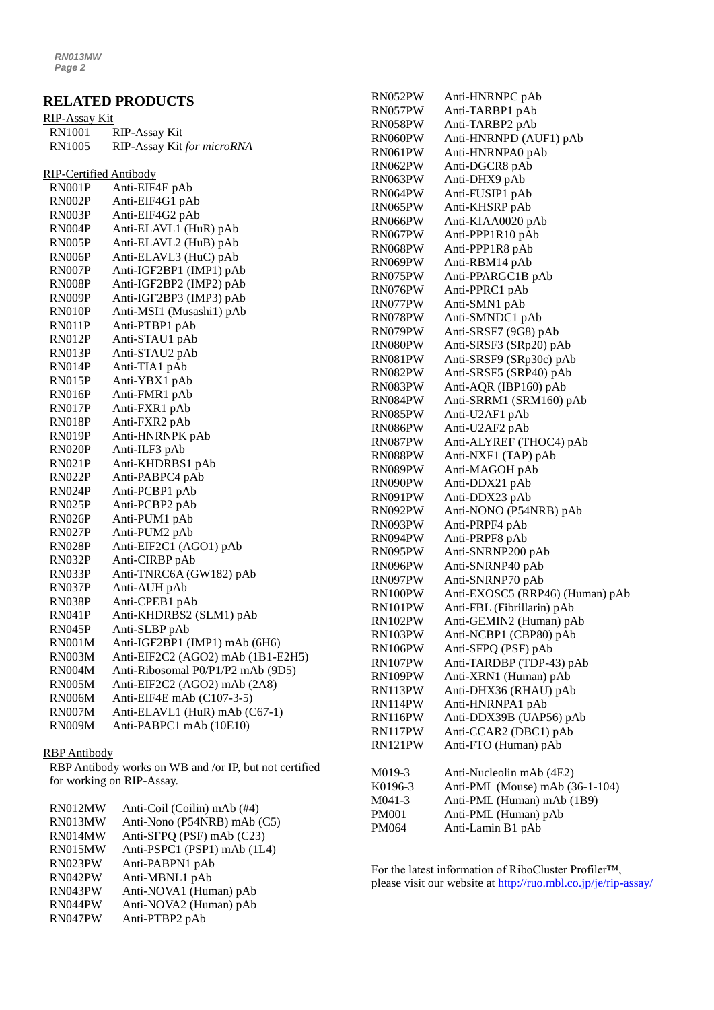### **RELATED PRODUCTS**

| RIP-Assay Kit |                            |
|---------------|----------------------------|
| RN1001        | RIP-Assay Kit              |
| RN1005        | RIP-Assay Kit for microRNA |

RIP-Certified Antibody

| RN001P        | Anti-EIF4E pAb                    |
|---------------|-----------------------------------|
| RN002P        | Anti-EIF4G1 pAb                   |
| RN003P        | Anti-EIF4G2 pAb                   |
| RN004P        | Anti-ELAVL1 (HuR) pAb             |
| RN005P        | Anti-ELAVL2 (HuB) pAb             |
| RN006P        | Anti-ELAVL3 (HuC) pAb             |
| <b>RN007P</b> | Anti-IGF2BP1 (IMP1) pAb           |
| <b>RN008P</b> | Anti-IGF2BP2 (IMP2) pAb           |
| RN009P        | Anti-IGF2BP3 (IMP3) pAb           |
| RN010P        | Anti-MSI1 (Musashi1) pAb          |
| RN011P        | Anti-PTBP1 pAb                    |
| RN012P        | Anti-STAU1 pAb                    |
| RN013P        | Anti-STAU2 pAb                    |
| RN014P        | Anti-TIA1 pAb                     |
| <b>RN015P</b> | Anti-YBX1 pAb                     |
| <b>RN016P</b> | Anti-FMR1 pAb                     |
| <b>RN017P</b> | Anti-FXR1 pAb                     |
| <b>RN018P</b> | Anti-FXR2 pAb                     |
| RN019P        | Anti-HNRNPK pAb                   |
| RN020P        | Anti-ILF3 pAb                     |
| <b>RN021P</b> | Anti-KHDRBS1 pAb                  |
| <b>RN022P</b> | Anti-PABPC4 pAb                   |
| RN024P        | Anti-PCBP1 pAb                    |
| RN025P        | Anti-PCBP2 pAb                    |
| <b>RN026P</b> | Anti-PUM1 pAb                     |
| <b>RN027P</b> | Anti-PUM2 pAb                     |
| <b>RN028P</b> | Anti-EIF2C1 (AGO1) pAb            |
| RN032P        | Anti-CIRBP pAb                    |
| RN033P        | Anti-TNRC6A (GW182) pAb           |
| RN037P        | Anti-AUH pAb                      |
| RN038P        | Anti-CPEB1 pAb                    |
| <b>RN041P</b> | Anti-KHDRBS2 (SLM1) pAb           |
| <b>RN045P</b> | Anti-SLBP pAb                     |
| <b>RN001M</b> | Anti-IGF2BP1 (IMP1) mAb (6H6)     |
| RN003M        | Anti-EIF2C2 (AGO2) mAb (1B1-E2H5) |
| <b>RN004M</b> | Anti-Ribosomal P0/P1/P2 mAb (9D5) |
| <b>RN005M</b> | Anti-EIF2C2 (AGO2) mAb (2A8)      |
| <b>RN006M</b> | Anti-EIF4E mAb (C107-3-5)         |
| <b>RN007M</b> | Anti-ELAVL1 (HuR) mAb (C67-1)     |
| <b>RN009M</b> | Anti-PABPC1 mAb (10E10)           |

#### RBP Antibody

RBP Antibody works on WB and /or IP, but not certified for working on RIP-Assay.

| RN012MW | Anti-Coil (Coilin) mAb (#4) |
|---------|-----------------------------|
| RN013MW | Anti-Nono (P54NRB) mAb (C5) |
| RN014MW | Anti-SFPQ (PSF) mAb (C23)   |
| RN015MW | Anti-PSPC1 (PSP1) mAb (1L4) |
| RN023PW | Anti-PABPN1 pAb             |
| RN042PW | Anti-MBNL1 pAb              |
| RN043PW | Anti-NOVA1 (Human) pAb      |
| RN044PW | Anti-NOVA2 (Human) pAb      |
| RN047PW | Anti-PTBP2 pAb              |

| RN052PW | Anti-HNRNPC pAb                 |
|---------|---------------------------------|
| RN057PW | Anti-TARBP1 pAb                 |
| RN058PW | Anti-TARBP2 pAb                 |
| RN060PW | Anti-HNRNPD (AUF1) pAb          |
| RN061PW | Anti-HNRNPA0 pAb                |
| RN062PW | Anti-DGCR8 pAb                  |
| RN063PW | Anti-DHX9 pAb                   |
| RN064PW | Anti-FUSIP1 pAb                 |
| RN065PW | Anti-KHSRP pAb                  |
| RN066PW | Anti-KIAA0020 pAb               |
| RN067PW | Anti-PPP1R10 pAb                |
| RN068PW | Anti-PPP1R8 pAb                 |
| RN069PW | Anti-RBM14 pAb                  |
| RN075PW | Anti-PPARGC1B pAb               |
| RN076PW | Anti-PPRC1 pAb                  |
| RN077PW | Anti-SMN1 pAb                   |
| RN078PW | Anti-SMNDC1 pAb                 |
| RN079PW | Anti-SRSF7 (9G8) pAb            |
| RN080PW | Anti-SRSF3 (SRp20) pAb          |
| RN081PW | Anti-SRSF9 (SRp30c) pAb         |
| RN082PW | Anti-SRSF5 (SRP40) pAb          |
| RN083PW | Anti-AQR (IBP160) pAb           |
| RN084PW | Anti-SRRM1 (SRM160) pAb         |
| RN085PW | Anti-U2AF1 pAb                  |
| RN086PW | Anti-U2AF2 pAb                  |
| RN087PW | Anti-ALYREF (THOC4) pAb         |
| RN088PW | Anti-NXF1 (TAP) pAb             |
| RN089PW | Anti-MAGOH pAb                  |
| RN090PW | Anti-DDX21 pAb                  |
| RN091PW | Anti-DDX23 pAb                  |
| RN092PW | Anti-NONO (P54NRB) pAb          |
| RN093PW | Anti-PRPF4 pAb                  |
| RN094PW | Anti-PRPF8 pAb                  |
| RN095PW | Anti-SNRNP200 pAb               |
| RN096PW | Anti-SNRNP40 pAb                |
| RN097PW | Anti-SNRNP70 pAb                |
| RN100PW | Anti-EXOSC5 (RRP46) (Human) pAb |
| RN101PW | Anti-FBL (Fibrillarin) pAb      |
| RN102PW | Anti-GEMIN2 (Human) pAb         |
| RN103PW | Anti-NCBP1 (CBP80) pAb          |
| RN106PW | Anti-SFPQ (PSF) pAb             |
| RN107PW | Anti-TARDBP (TDP-43) pAb        |
| RN109PW | Anti-XRN1 (Human) pAb           |
|         |                                 |
| RN113PW | Anti-DHX36 (RHAU) pAb           |
| RN114PW | Anti-HNRNPA1 pAb                |
| RN116PW | Anti-DDX39B (UAP56) pAb         |
| RN117PW | Anti-CCAR2 (DBC1) pAb           |
| RN121PW | Anti-FTO (Human) pAb            |
|         |                                 |
| M019-3  | Anti-Nucleolin mAb (4E2)        |
| K0196-3 | Anti-PML (Mouse) mAb (36-1-104) |
| M041-3  | Anti-PML (Human) mAb (1B9)      |
| PM001   | Anti-PML (Human) pAb            |
| PM064   | Anti-Lamin B1 pAb               |

For the latest information of RiboCluster Profiler™, please visit our website at [http://ruo.mbl.co.jp/je/rip-assay/](https://ruo.mbl.co.jp/je/rip-assay/)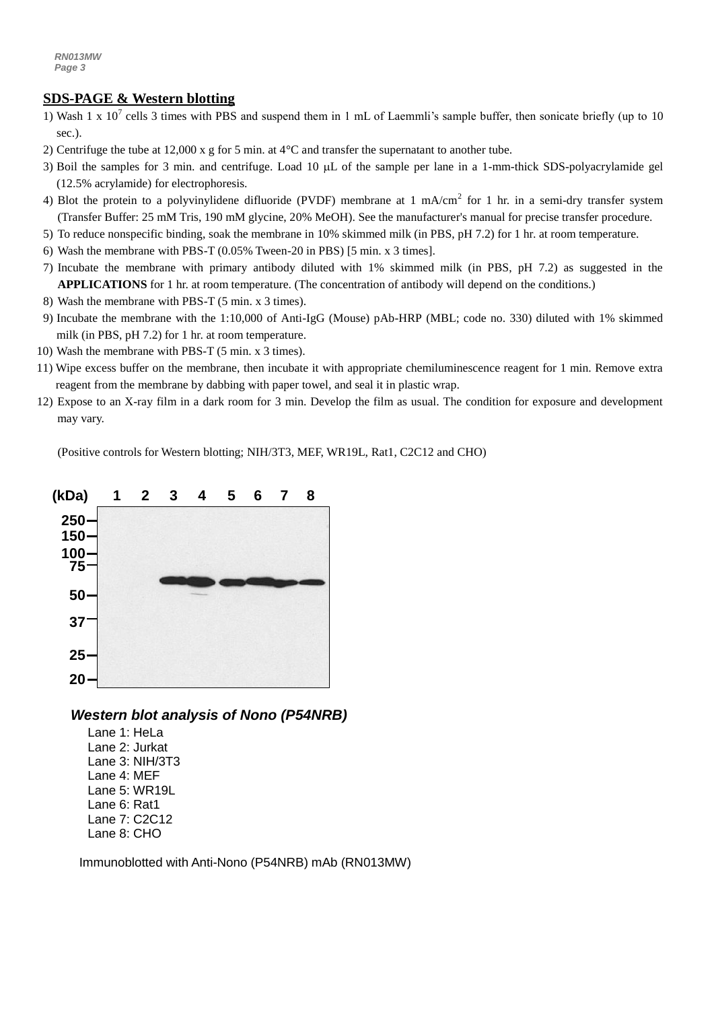#### *a g* **SDS-PAGE & Western blotting**

- 1) Wash 1 x 10<sup>7</sup> cells 3 times with PBS and suspend them in 1 mL of Laemmli's sample buffer, then sonicate briefly (up to 10 sec.).
- 2) Centrifuge the tube at 12,000 x g for 5 min. at 4°C and transfer the supernatant to another tube.
- 3) Boil the samples for 3 min. and centrifuge. Load 10 µL of the sample per lane in a 1-mm-thick SDS-polyacrylamide gel (12.5% acrylamide) for electrophoresis.
- 4) Blot the protein to a polyvinylidene difluoride (PVDF) membrane at 1 mA/cm<sup>2</sup> for 1 hr. in a semi-dry transfer system (Transfer Buffer: 25 mM Tris, 190 mM glycine, 20% MeOH). See the manufacturer's manual for precise transfer procedure.
- 5) To reduce nonspecific binding, soak the membrane in 10% skimmed milk (in PBS, pH 7.2) for 1 hr. at room temperature.
- 6) Wash the membrane with PBS-T (0.05% Tween-20 in PBS) [5 min. x 3 times].
- 7) Incubate the membrane with primary antibody diluted with 1% skimmed milk (in PBS, pH 7.2) as suggested in the **APPLICATIONS** for 1 hr. at room temperature. (The concentration of antibody will depend on the conditions.)
- 8) Wash the membrane with PBS-T (5 min. x 3 times).
- 9) Incubate the membrane with the 1:10,000 of [Anti-IgG \(Mouse\) pAb-HRP](http://ruo.mbl.co.jp/g/dtl/A/330/) (MBL; code no. 330) diluted with 1% skimmed milk (in PBS, pH 7.2) for 1 hr. at room temperature.
- 10) Wash the membrane with PBS-T (5 min. x 3 times).
- 11) Wipe excess buffer on the membrane, then incubate it with appropriate chemiluminescence reagent for 1 min. Remove extra reagent from the membrane by dabbing with paper towel, and seal it in plastic wrap.
- 12) Expose to an X-ray film in a dark room for 3 min. Develop the film as usual. The condition for exposure and development may vary.

(Positive controls for Western blotting; NIH/3T3, MEF, WR19L, Rat1, C2C12 and CHO)



*Western blot analysis of Nono (P54NRB)*

Lane 1: HeLa Lane 2: Jurkat Lane 3: NIH/3T3 Lane 4: MEF Lane 5: WR19L Lane 6: Rat1 Lane 7: C2C12 Lane 8: CHO

Immunoblotted with Anti-Nono (P54NRB) mAb (RN013MW)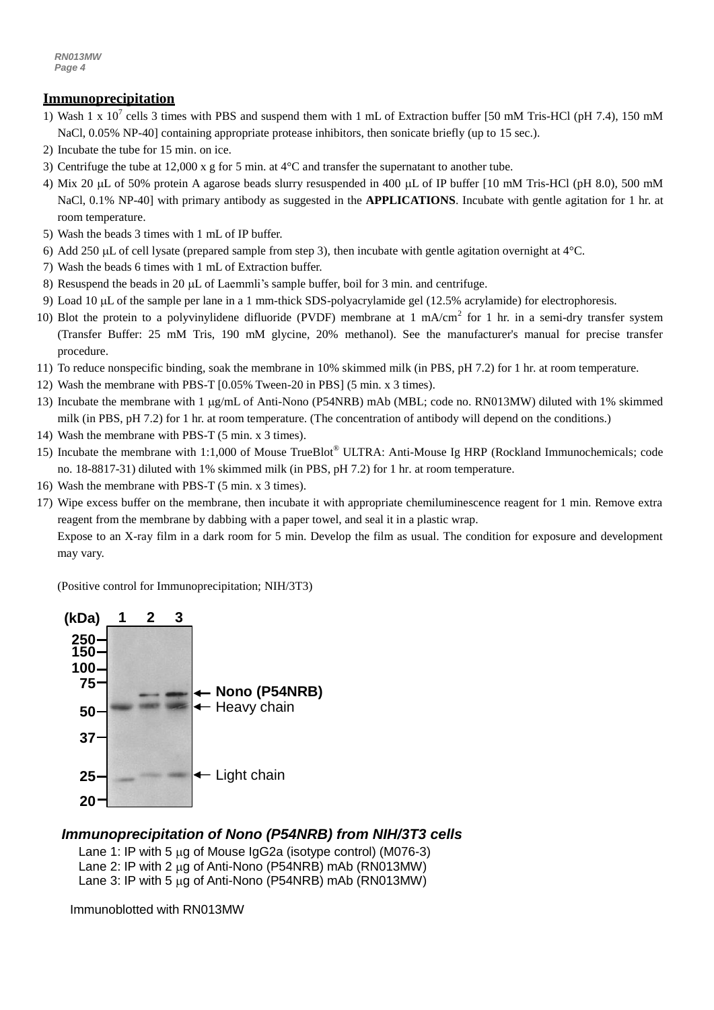#### **Immunoprecipitation**

- 1) Wash 1 x 10<sup>7</sup> cells 3 times with PBS and suspend them with 1 mL of Extraction buffer [50 mM Tris-HCl (pH 7.4), 150 mM NaCl, 0.05% NP-40] containing appropriate protease inhibitors, then sonicate briefly (up to 15 sec.).
- 2) Incubate the tube for 15 min. on ice.
- 3) Centrifuge the tube at 12,000 x g for 5 min. at 4°C and transfer the supernatant to another tube.
- 4) Mix 20  $\mu$ L of 50% protein A agarose beads slurry resuspended in 400  $\mu$ L of IP buffer [10 mM Tris-HCl (pH 8.0), 500 mM NaCl, 0.1% NP-40] with primary antibody as suggested in the **APPLICATIONS**. Incubate with gentle agitation for 1 hr. at room temperature.
- 5) Wash the beads 3 times with 1 mL of IP buffer.
- 6) Add 250  $\mu$ L of cell lysate (prepared sample from step 3), then incubate with gentle agitation overnight at  $4^{\circ}$ C.
- 7) Wash the beads 6 times with 1 mL of Extraction buffer.
- 8) Resuspend the beads in 20  $\mu$  of Laemmii's sample buffer, boil for 3 min. and centrifuge.
- 9) Load 10 µL of the sample per lane in a 1 mm-thick SDS-polyacrylamide gel (12.5% acrylamide) for electrophoresis.
- 10) Blot the protein to a polyvinylidene difluoride (PVDF) membrane at 1 mA/cm<sup>2</sup> for 1 hr. in a semi-dry transfer system (Transfer Buffer: 25 mM Tris, 190 mM glycine, 20% methanol). See the manufacturer's manual for precise transfer procedure.
- 11) To reduce nonspecific binding, soak the membrane in 10% skimmed milk (in PBS, pH 7.2) for 1 hr. at room temperature.
- 12) Wash the membrane with PBS-T [0.05% Tween-20 in PBS] (5 min. x 3 times).
- 13) Incubate the membrane with 1 g/mL of Anti-Nono (P54NRB) mAb (MBL; code no. RN013MW) diluted with 1% skimmed milk (in PBS, pH 7.2) for 1 hr. at room temperature. (The concentration of antibody will depend on the conditions.)
- 14) Wash the membrane with PBS-T (5 min. x 3 times).
- 15) Incubate the membrane with 1:1,000 of Mouse TrueBlot® ULTRA: Anti-Mouse Ig HRP (Rockland Immunochemicals; code no. 18-8817-31) diluted with 1% skimmed milk (in PBS, pH 7.2) for 1 hr. at room temperature.
- 16) Wash the membrane with PBS-T (5 min. x 3 times).
- 17) Wipe excess buffer on the membrane, then incubate it with appropriate chemiluminescence reagent for 1 min. Remove extra reagent from the membrane by dabbing with a paper towel, and seal it in a plastic wrap.

Expose to an X-ray film in a dark room for 5 min. Develop the film as usual. The condition for exposure and development may vary.



#### *Immunoprecipitation of Nono (P54NRB) from NIH/3T3 cells*

- Lane 1: IP with 5  $\mu$ g of Mouse IgG2a (isotype control) (M076-3) Lane 2: IP with 2  $\mu$ g of Anti-Nono (P54NRB) mAb (RN013MW)
- Lane 3: IP with 5  $\mu$ g of Anti-Nono (P54NRB) mAb (RN013MW)

Immunoblotted with RN013MW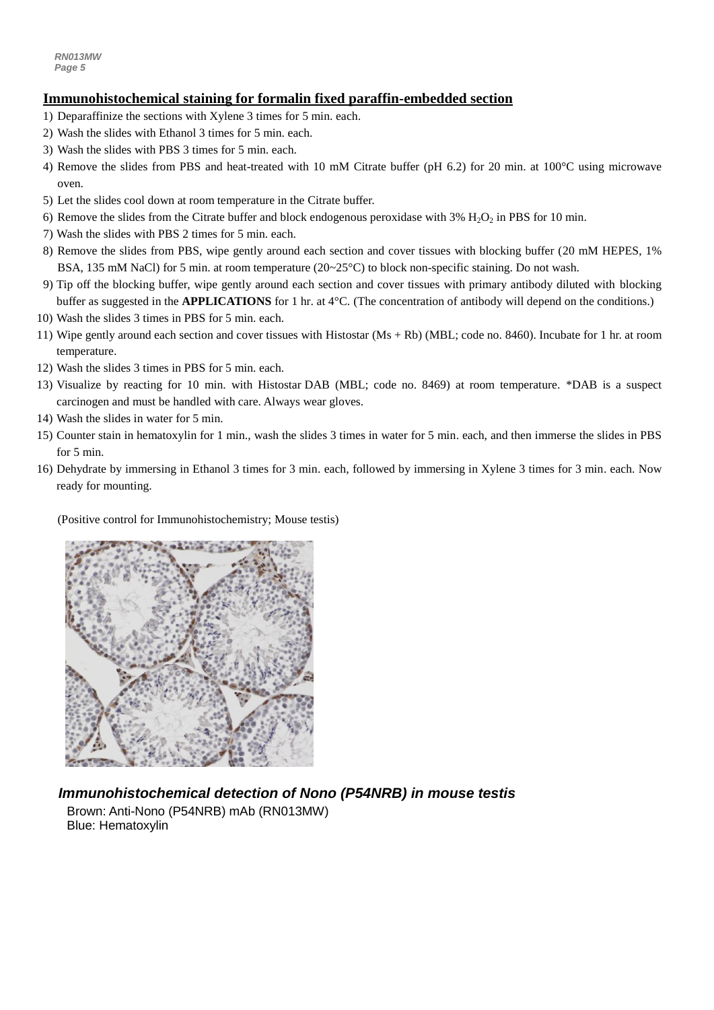#### **Immunohistochemical staining for formalin fixed paraffin-embedded section**

- 1) Deparaffinize the sections with Xylene 3 times for 5 min. each.
- *5* 2) Wash the slides with Ethanol 3 times for 5 min. each.
- 3) Wash the slides with PBS 3 times for 5 min. each.
- 4) Remove the slides from PBS and heat-treated with 10 mM Citrate buffer (pH 6.2) for 20 min. at 100°C using microwave oven.
- 5) Let the slides cool down at room temperature in the Citrate buffer.
- 6) Remove the slides from the Citrate buffer and block endogenous peroxidase with  $3\%$  H<sub>2</sub>O<sub>2</sub> in PBS for 10 min.
- 7) Wash the slides with PBS 2 times for 5 min. each.
- 8) Remove the slides from PBS, wipe gently around each section and cover tissues with blocking buffer (20 mM HEPES, 1% BSA, 135 mM NaCl) for 5 min. at room temperature (20~25°C) to block non-specific staining. Do not wash.
- 9) Tip off the blocking buffer, wipe gently around each section and cover tissues with primary antibody diluted with blocking buffer as suggested in the **APPLICATIONS** for 1 hr. at 4°C. (The concentration of antibody will depend on the conditions.)
- 10) Wash the slides 3 times in PBS for 5 min. each.
- 11) Wipe gently around each section and cover tissues with Histostar (Ms + Rb) (MBL; code no. 8460). Incubate for 1 hr. at room temperature.
- 12) Wash the slides 3 times in PBS for 5 min. each.
- 13) Visualize by reacting for 10 min. with Histostar DAB (MBL; code no. 8469) at room temperature. \*DAB is a suspect carcinogen and must be handled with care. Always wear gloves.
- 14) Wash the slides in water for 5 min.
- 15) Counter stain in hematoxylin for 1 min., wash the slides 3 times in water for 5 min. each, and then immerse the slides in PBS for 5 min.
- 16) Dehydrate by immersing in Ethanol 3 times for 3 min. each, followed by immersing in Xylene 3 times for 3 min. each. Now ready for mounting.

#### (Positive control for Immunohistochemistry; Mouse testis)



*Immunohistochemical detection of Nono (P54NRB) in mouse testis* Brown: Anti-Nono (P54NRB) mAb (RN013MW) Blue: Hematoxylin